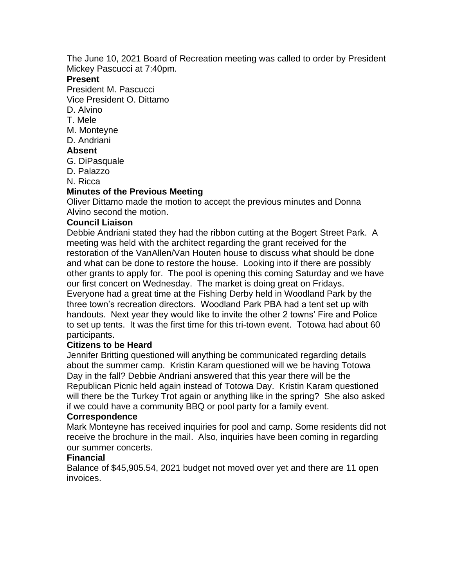The June 10, 2021 Board of Recreation meeting was called to order by President Mickey Pascucci at 7:40pm.

#### **Present**

President M. Pascucci

Vice President O. Dittamo

D. Alvino

T. Mele

- M. Monteyne
- D. Andriani

### **Absent**

G. DiPasquale

D. Palazzo

N. Ricca

# **Minutes of the Previous Meeting**

Oliver Dittamo made the motion to accept the previous minutes and Donna Alvino second the motion.

### **Council Liaison**

Debbie Andriani stated they had the ribbon cutting at the Bogert Street Park. A meeting was held with the architect regarding the grant received for the restoration of the VanAllen/Van Houten house to discuss what should be done and what can be done to restore the house. Looking into if there are possibly other grants to apply for. The pool is opening this coming Saturday and we have our first concert on Wednesday. The market is doing great on Fridays. Everyone had a great time at the Fishing Derby held in Woodland Park by the three town's recreation directors. Woodland Park PBA had a tent set up with handouts. Next year they would like to invite the other 2 towns' Fire and Police to set up tents. It was the first time for this tri-town event. Totowa had about 60 participants.

### **Citizens to be Heard**

Jennifer Britting questioned will anything be communicated regarding details about the summer camp. Kristin Karam questioned will we be having Totowa Day in the fall? Debbie Andriani answered that this year there will be the Republican Picnic held again instead of Totowa Day. Kristin Karam questioned will there be the Turkey Trot again or anything like in the spring? She also asked if we could have a community BBQ or pool party for a family event.

### **Correspondence**

Mark Monteyne has received inquiries for pool and camp. Some residents did not receive the brochure in the mail. Also, inquiries have been coming in regarding our summer concerts.

### **Financial**

Balance of \$45,905.54, 2021 budget not moved over yet and there are 11 open invoices.